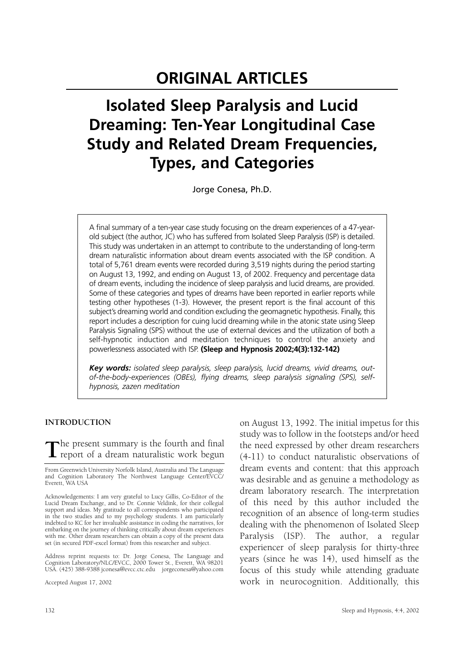# **ORIGINAL ARTICLES**

# **Isolated Sleep Paralysis and Lucid Dreaming: Ten-Year Longitudinal Case Study and Related Dream Frequencies, Types, and Categories**

Jorge Conesa, Ph.D.

A final summary of a ten-year case study focusing on the dream experiences of a 47-yearold subject (the author, JC) who has suffered from Isolated Sleep Paralysis (ISP) is detailed. This study was undertaken in an attempt to contribute to the understanding of long-term dream naturalistic information about dream events associated with the ISP condition. A total of 5,761 dream events were recorded during 3,519 nights during the period starting on August 13, 1992, and ending on August 13, of 2002. Frequency and percentage data of dream events, including the incidence of sleep paralysis and lucid dreams, are provided. Some of these categories and types of dreams have been reported in earlier reports while testing other hypotheses (1-3). However, the present report is the final account of this subject's dreaming world and condition excluding the geomagnetic hypothesis. Finally, this report includes a description for cuing lucid dreaming while in the atonic state using Sleep Paralysis Signaling (SPS) without the use of external devices and the utilization of both a self-hypnotic induction and meditation techniques to control the anxiety and powerlessness associated with ISP. **(Sleep and Hypnosis 2002;4(3):132-142)**

*Key words: isolated sleep paralysis, sleep paralysis, lucid dreams, vivid dreams, outof-the-body-experiences (OBEs), flying dreams, sleep paralysis signaling (SPS), selfhypnosis, zazen meditation*

## **INTRODUCTION**

**T**he present summary is the fourth and final  $\perp$  report of a dream naturalistic work begun

From Greenwich University Norfolk Island, Australia and The Language and Cognition Laboratory The Northwest Language Center/EVCC/ Everett, WA USA

Acknowledgements: I am very grateful to Lucy Gillis, Co-Editor of the Lucid Dream Exchange, and to Dr. Connie Veldink, for their collegial support and ideas. My gratitude to all correspondents who participated in the two studies and to my psychology students. I am particularly indebted to KC for her invaluable assistance in coding the narratives, for embarking on the journey of thinking critically about dream experiences with me. Other dream researchers can obtain a copy of the present data set (in secured PDF-excel format) from this researcher and subject.

Address reprint requests to: Dr. Jorge Conesa, The Language and Cognition Laboratory/NLC/EVCC, 2000 Tower St., Everett, WA 98201 USA. (425) 388-9388 jconesa@evcc.ctc.edu jorgeconesa@yahoo.com

Accepted August 17, 2002

on August 13, 1992. The initial impetus for this study was to follow in the footsteps and/or heed the need expressed by other dream researchers (4-11) to conduct naturalistic observations of dream events and content: that this approach was desirable and as genuine a methodology as dream laboratory research. The interpretation of this need by this author included the recognition of an absence of long-term studies dealing with the phenomenon of Isolated Sleep Paralysis (ISP). The author, a regular experiencer of sleep paralysis for thirty-three years (since he was 14), used himself as the focus of this study while attending graduate work in neurocognition. Additionally, this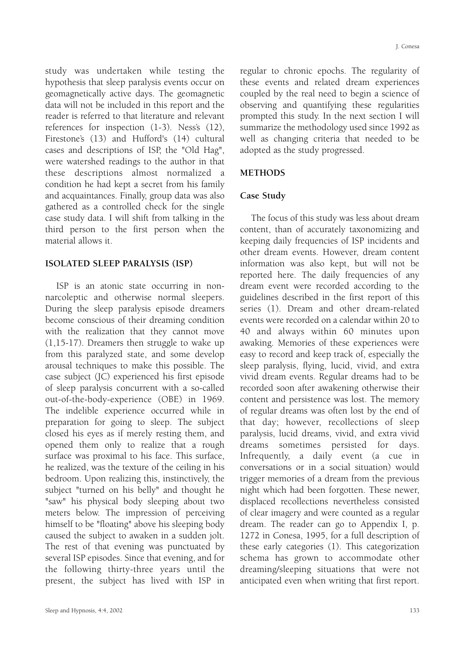study was undertaken while testing the hypothesis that sleep paralysis events occur on geomagnetically active days. The geomagnetic data will not be included in this report and the reader is referred to that literature and relevant references for inspection (1-3). Ness's (12), Firestone's (13) and Hufford's (14) cultural cases and descriptions of ISP, the "Old Hag", were watershed readings to the author in that these descriptions almost normalized a condition he had kept a secret from his family and acquaintances. Finally, group data was also gathered as a controlled check for the single case study data. I will shift from talking in the third person to the first person when the material allows it.

## **ISOLATED SLEEP PARALYSIS (ISP)**

ISP is an atonic state occurring in nonnarcoleptic and otherwise normal sleepers. During the sleep paralysis episode dreamers become conscious of their dreaming condition with the realization that they cannot move (1,15-17). Dreamers then struggle to wake up from this paralyzed state, and some develop arousal techniques to make this possible. The case subject (JC) experienced his first episode of sleep paralysis concurrent with a so-called out-of-the-body-experience (OBE) in 1969. The indelible experience occurred while in preparation for going to sleep. The subject closed his eyes as if merely resting them, and opened them only to realize that a rough surface was proximal to his face. This surface, he realized, was the texture of the ceiling in his bedroom. Upon realizing this, instinctively, the subject "turned on his belly" and thought he "saw" his physical body sleeping about two meters below. The impression of perceiving himself to be "floating" above his sleeping body caused the subject to awaken in a sudden jolt. The rest of that evening was punctuated by several ISP episodes. Since that evening, and for the following thirty-three years until the present, the subject has lived with ISP in

regular to chronic epochs. The regularity of these events and related dream experiences coupled by the real need to begin a science of observing and quantifying these regularities prompted this study. In the next section I will summarize the methodology used since 1992 as well as changing criteria that needed to be adopted as the study progressed.

## **METHODS**

## **Case Study**

The focus of this study was less about dream content, than of accurately taxonomizing and keeping daily frequencies of ISP incidents and other dream events. However, dream content information was also kept, but will not be reported here. The daily frequencies of any dream event were recorded according to the guidelines described in the first report of this series (1). Dream and other dream-related events were recorded on a calendar within 20 to 40 and always within 60 minutes upon awaking. Memories of these experiences were easy to record and keep track of, especially the sleep paralysis, flying, lucid, vivid, and extra vivid dream events. Regular dreams had to be recorded soon after awakening otherwise their content and persistence was lost. The memory of regular dreams was often lost by the end of that day; however, recollections of sleep paralysis, lucid dreams, vivid, and extra vivid dreams sometimes persisted for days. Infrequently, a daily event (a cue in conversations or in a social situation) would trigger memories of a dream from the previous night which had been forgotten. These newer, displaced recollections nevertheless consisted of clear imagery and were counted as a regular dream. The reader can go to Appendix I, p. 1272 in Conesa, 1995, for a full description of these early categories (1). This categorization schema has grown to accommodate other dreaming/sleeping situations that were not anticipated even when writing that first report.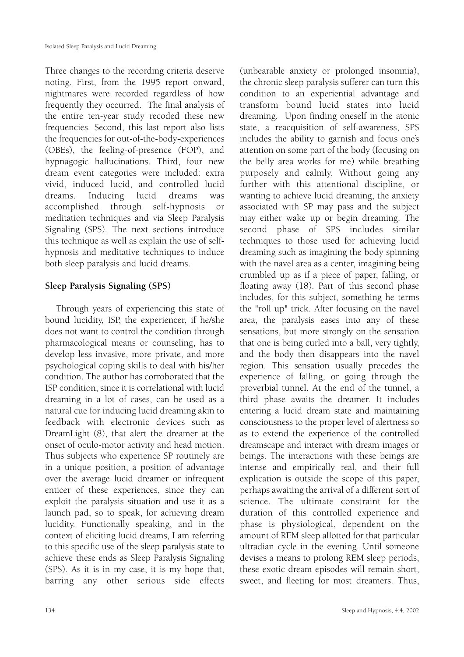Three changes to the recording criteria deserve noting. First, from the 1995 report onward, nightmares were recorded regardless of how frequently they occurred. The final analysis of the entire ten-year study recoded these new frequencies. Second, this last report also lists the frequencies for out-of-the-body-experiences (OBEs), the feeling-of-presence (FOP), and hypnagogic hallucinations. Third, four new dream event categories were included: extra vivid, induced lucid, and controlled lucid dreams. Inducing lucid dreams was accomplished through self-hypnosis or meditation techniques and via Sleep Paralysis Signaling (SPS). The next sections introduce this technique as well as explain the use of selfhypnosis and meditative techniques to induce both sleep paralysis and lucid dreams.

# **Sleep Paralysis Signaling (SPS)**

Through years of experiencing this state of bound lucidity, ISP, the experiencer, if he/she does not want to control the condition through pharmacological means or counseling, has to develop less invasive, more private, and more psychological coping skills to deal with his/her condition. The author has corroborated that the ISP condition, since it is correlational with lucid dreaming in a lot of cases, can be used as a natural cue for inducing lucid dreaming akin to feedback with electronic devices such as DreamLight (8), that alert the dreamer at the onset of oculo-motor activity and head motion. Thus subjects who experience SP routinely are in a unique position, a position of advantage over the average lucid dreamer or infrequent enticer of these experiences, since they can exploit the paralysis situation and use it as a launch pad, so to speak, for achieving dream lucidity. Functionally speaking, and in the context of eliciting lucid dreams, I am referring to this specific use of the sleep paralysis state to achieve these ends as Sleep Paralysis Signaling (SPS). As it is in my case, it is my hope that, barring any other serious side effects

(unbearable anxiety or prolonged insomnia), the chronic sleep paralysis sufferer can turn this condition to an experiential advantage and transform bound lucid states into lucid dreaming. Upon finding oneself in the atonic state, a reacquisition of self-awareness, SPS includes the ability to garnish and focus one's attention on some part of the body (focusing on the belly area works for me) while breathing purposely and calmly. Without going any further with this attentional discipline, or wanting to achieve lucid dreaming, the anxiety associated with SP may pass and the subject may either wake up or begin dreaming. The second phase of SPS includes similar techniques to those used for achieving lucid dreaming such as imagining the body spinning with the navel area as a center, imagining being crumbled up as if a piece of paper, falling, or floating away (18). Part of this second phase includes, for this subject, something he terms the "roll up" trick. After focusing on the navel area, the paralysis eases into any of these sensations, but more strongly on the sensation that one is being curled into a ball, very tightly, and the body then disappears into the navel region. This sensation usually precedes the experience of falling, or going through the proverbial tunnel. At the end of the tunnel, a third phase awaits the dreamer. It includes entering a lucid dream state and maintaining consciousness to the proper level of alertness so as to extend the experience of the controlled dreamscape and interact with dream images or beings. The interactions with these beings are intense and empirically real, and their full explication is outside the scope of this paper, perhaps awaiting the arrival of a different sort of science. The ultimate constraint for the duration of this controlled experience and phase is physiological, dependent on the amount of REM sleep allotted for that particular ultradian cycle in the evening. Until someone devises a means to prolong REM sleep periods, these exotic dream episodes will remain short, sweet, and fleeting for most dreamers. Thus,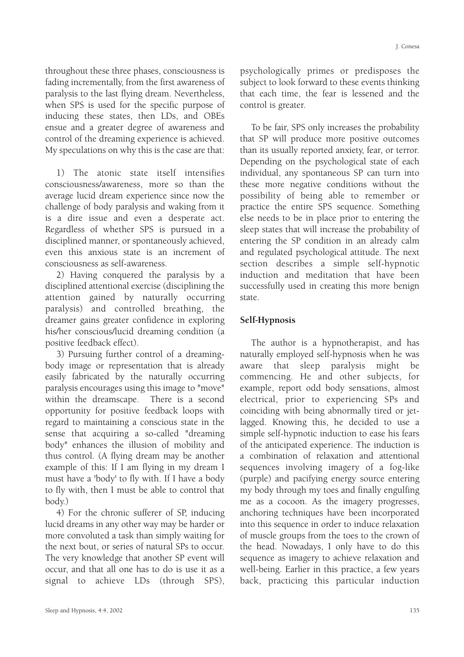throughout these three phases, consciousness is fading incrementally, from the first awareness of paralysis to the last flying dream. Nevertheless, when SPS is used for the specific purpose of inducing these states, then LDs, and OBEs ensue and a greater degree of awareness and control of the dreaming experience is achieved. My speculations on why this is the case are that:

1) The atonic state itself intensifies consciousness/awareness, more so than the average lucid dream experience since now the challenge of body paralysis and waking from it is a dire issue and even a desperate act. Regardless of whether SPS is pursued in a disciplined manner, or spontaneously achieved, even this anxious state is an increment of consciousness as self-awareness.

2) Having conquered the paralysis by a disciplined attentional exercise (disciplining the attention gained by naturally occurring paralysis) and controlled breathing, the dreamer gains greater confidence in exploring his/her conscious/lucid dreaming condition (a positive feedback effect).

3) Pursuing further control of a dreamingbody image or representation that is already easily fabricated by the naturally occurring paralysis encourages using this image to "move" within the dreamscape. There is a second opportunity for positive feedback loops with regard to maintaining a conscious state in the sense that acquiring a so-called "dreaming body" enhances the illusion of mobility and thus control. (A flying dream may be another example of this: If I am flying in my dream I must have a 'body' to fly with. If I have a body to fly with, then I must be able to control that body.)

4) For the chronic sufferer of SP, inducing lucid dreams in any other way may be harder or more convoluted a task than simply waiting for the next bout, or series of natural SPs to occur. The very knowledge that another SP event will occur, and that all one has to do is use it as a signal to achieve LDs (through SPS), psychologically primes or predisposes the subject to look forward to these events thinking that each time, the fear is lessened and the control is greater.

To be fair, SPS only increases the probability that SP will produce more positive outcomes than its usually reported anxiety, fear, or terror. Depending on the psychological state of each individual, any spontaneous SP can turn into these more negative conditions without the possibility of being able to remember or practice the entire SPS sequence. Something else needs to be in place prior to entering the sleep states that will increase the probability of entering the SP condition in an already calm and regulated psychological attitude. The next section describes a simple self-hypnotic induction and meditation that have been successfully used in creating this more benign state.

## **Self-Hypnosis**

The author is a hypnotherapist, and has naturally employed self-hypnosis when he was aware that sleep paralysis might be commencing. He and other subjects, for example, report odd body sensations, almost electrical, prior to experiencing SPs and coinciding with being abnormally tired or jetlagged. Knowing this, he decided to use a simple self-hypnotic induction to ease his fears of the anticipated experience. The induction is a combination of relaxation and attentional sequences involving imagery of a fog-like (purple) and pacifying energy source entering my body through my toes and finally engulfing me as a cocoon. As the imagery progresses, anchoring techniques have been incorporated into this sequence in order to induce relaxation of muscle groups from the toes to the crown of the head. Nowadays, I only have to do this sequence as imagery to achieve relaxation and well-being. Earlier in this practice, a few years back, practicing this particular induction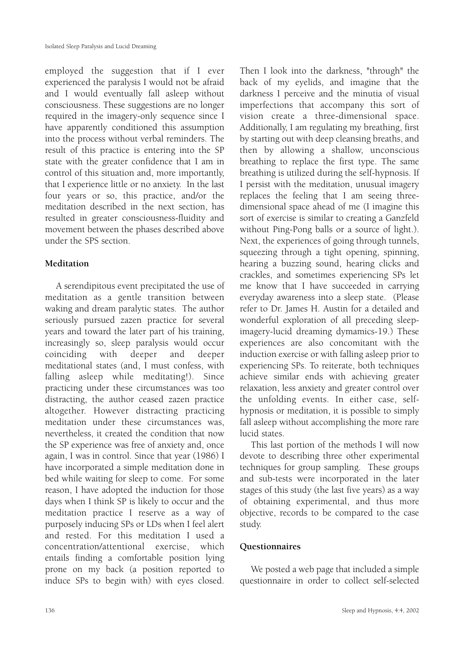employed the suggestion that if I ever experienced the paralysis I would not be afraid and I would eventually fall asleep without consciousness. These suggestions are no longer required in the imagery-only sequence since I have apparently conditioned this assumption into the process without verbal reminders. The result of this practice is entering into the SP state with the greater confidence that I am in control of this situation and, more importantly, that I experience little or no anxiety. In the last four years or so, this practice, and/or the meditation described in the next section, has resulted in greater consciousness-fluidity and movement between the phases described above under the SPS section.

# **Meditation**

A serendipitous event precipitated the use of meditation as a gentle transition between waking and dream paralytic states. The author seriously pursued zazen practice for several years and toward the later part of his training, increasingly so, sleep paralysis would occur coinciding with deeper and deeper meditational states (and, I must confess, with falling asleep while meditating!). Since practicing under these circumstances was too distracting, the author ceased zazen practice altogether. However distracting practicing meditation under these circumstances was, nevertheless, it created the condition that now the SP experience was free of anxiety and, once again, I was in control. Since that year (1986) I have incorporated a simple meditation done in bed while waiting for sleep to come. For some reason, I have adopted the induction for those days when I think SP is likely to occur and the meditation practice I reserve as a way of purposely inducing SPs or LDs when I feel alert and rested. For this meditation I used a concentration/attentional exercise, which entails finding a comfortable position lying prone on my back (a position reported to induce SPs to begin with) with eyes closed.

back of my eyelids, and imagine that the darkness I perceive and the minutia of visual imperfections that accompany this sort of vision create a three-dimensional space. Additionally, I am regulating my breathing, first by starting out with deep cleansing breaths, and then by allowing a shallow, unconscious breathing to replace the first type. The same breathing is utilized during the self-hypnosis. If I persist with the meditation, unusual imagery replaces the feeling that I am seeing threedimensional space ahead of me (I imagine this sort of exercise is similar to creating a Ganzfeld without Ping-Pong balls or a source of light.). Next, the experiences of going through tunnels, squeezing through a tight opening, spinning, hearing a buzzing sound, hearing clicks and crackles, and sometimes experiencing SPs let me know that I have succeeded in carrying everyday awareness into a sleep state. (Please refer to Dr. James H. Austin for a detailed and wonderful exploration of all preceding sleepimagery-lucid dreaming dymamics-19.) These experiences are also concomitant with the induction exercise or with falling asleep prior to experiencing SPs. To reiterate, both techniques achieve similar ends with achieving greater relaxation, less anxiety and greater control over the unfolding events. In either case, selfhypnosis or meditation, it is possible to simply fall asleep without accomplishing the more rare lucid states.

Then I look into the darkness, "through" the

This last portion of the methods I will now devote to describing three other experimental techniques for group sampling. These groups and sub-tests were incorporated in the later stages of this study (the last five years) as a way of obtaining experimental, and thus more objective, records to be compared to the case study.

# **Questionnaires**

We posted a web page that included a simple questionnaire in order to collect self-selected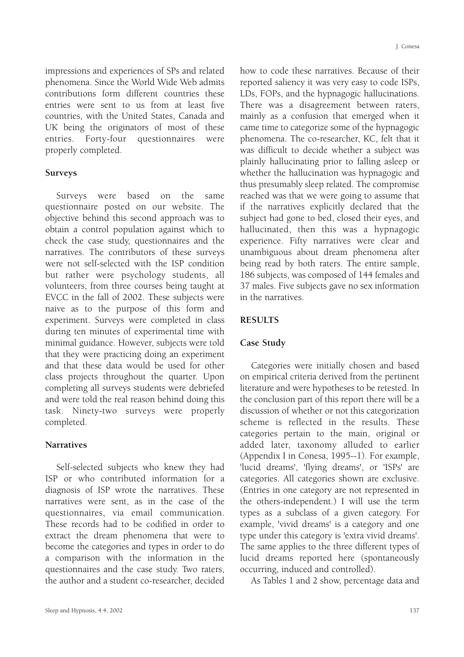impressions and experiences of SPs and related phenomena. Since the World Wide Web admits contributions form different countries these entries were sent to us from at least five countries, with the United States, Canada and UK being the originators of most of these entries. Forty-four questionnaires were properly completed.

## **Surveys**

Surveys were based on the same questionnaire posted on our website. The objective behind this second approach was to obtain a control population against which to check the case study, questionnaires and the narratives. The contributors of these surveys were not self-selected with the ISP condition but rather were psychology students, all volunteers, from three courses being taught at EVCC in the fall of 2002. These subjects were naive as to the purpose of this form and experiment. Surveys were completed in class during ten minutes of experimental time with minimal guidance. However, subjects were told that they were practicing doing an experiment and that these data would be used for other class projects throughout the quarter. Upon completing all surveys students were debriefed and were told the real reason behind doing this task. Ninety-two surveys were properly completed.

## **Narratives**

Self-selected subjects who knew they had ISP or who contributed information for a diagnosis of ISP wrote the narratives. These narratives were sent, as in the case of the questionnaires, via email communication. These records had to be codified in order to extract the dream phenomena that were to become the categories and types in order to do a comparison with the information in the questionnaires and the case study. Two raters, the author and a student co-researcher, decided

how to code these narratives. Because of their reported saliency it was very easy to code ISPs, LDs, FOPs, and the hypnagogic hallucinations. There was a disagreement between raters, mainly as a confusion that emerged when it came time to categorize some of the hypnagogic phenomena. The co-researcher, KC, felt that it was difficult to decide whether a subject was plainly hallucinating prior to falling asleep or whether the hallucination was hypnagogic and thus presumably sleep related. The compromise reached was that we were going to assume that if the narratives explicitly declared that the subject had gone to bed, closed their eyes, and hallucinated, then this was a hypnagogic experience. Fifty narratives were clear and unambiguous about dream phenomena after being read by both raters. The entire sample, 186 subjects, was composed of 144 females and 37 males. Five subjects gave no sex information in the narratives.

## **RESULTS**

## **Case Study**

Categories were initially chosen and based on empirical criteria derived from the pertinent literature and were hypotheses to be retested. In the conclusion part of this report there will be a discussion of whether or not this categorization scheme is reflected in the results. These categories pertain to the main, original or added later, taxonomy alluded to earlier (Appendix I in Conesa, 1995--1). For example, 'lucid dreams', 'flying dreams', or 'ISPs' are categories. All categories shown are exclusive. (Entries in one category are not represented in the others-independent.) I will use the term types as a subclass of a given category. For example, 'vivid dreams' is a category and one type under this category is 'extra vivid dreams'. The same applies to the three different types of lucid dreams reported here (spontaneously occurring, induced and controlled).

As Tables 1 and 2 show, percentage data and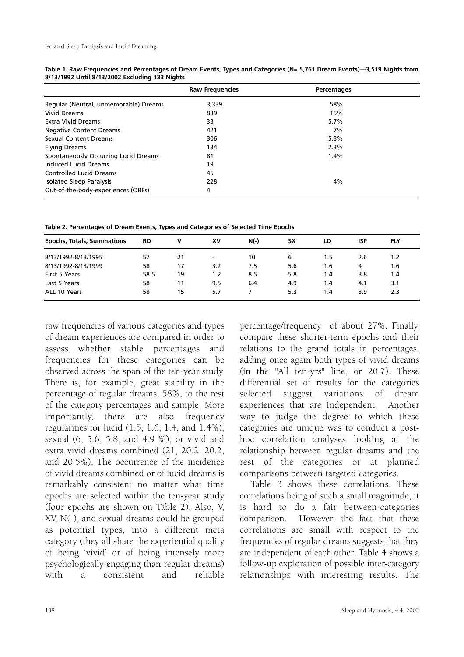|                                       | <b>Raw Frequencies</b> | Percentages |  |
|---------------------------------------|------------------------|-------------|--|
| Regular (Neutral, unmemorable) Dreams | 3,339                  | 58%         |  |
| <b>Vivid Dreams</b>                   | 839                    | 15%         |  |
| <b>Extra Vivid Dreams</b>             | 33                     | 5.7%        |  |
| <b>Negative Content Dreams</b>        | 421                    | 7%          |  |
| Sexual Content Dreams                 | 306                    | 5.3%        |  |
| <b>Flying Dreams</b>                  | 134                    | 2.3%        |  |
| Spontaneously Occurring Lucid Dreams  | 81                     | 1.4%        |  |
| Induced Lucid Dreams                  | 19                     |             |  |
| <b>Controlled Lucid Dreams</b>        | 45                     |             |  |
| <b>Isolated Sleep Paralysis</b>       | 228                    | 4%          |  |
| Out-of-the-body-experiences (OBEs)    | 4                      |             |  |

**Table 1. Raw Frequencies and Percentages of Dream Events, Types and Categories (N= 5,761 Dream Events)—3,519 Nights from 8/13/1992 Until 8/13/2002 Excluding 133 Nights**

**Table 2. Percentages of Dream Events, Types and Categories of Selected Time Epochs**

| <b>Epochs, Totals, Summations</b> | <b>RD</b> | v  | XV                       | $N(-)$ | <b>SX</b> | LD  | <b>ISP</b> | <b>FLY</b> |
|-----------------------------------|-----------|----|--------------------------|--------|-----------|-----|------------|------------|
| 8/13/1992-8/13/1995               | 57        | 21 | $\overline{\phantom{0}}$ | 10     | 6         | 1.5 | 2.6        | 1.2        |
| 8/13/1992-8/13/1999               | 58        | 17 | 3.2                      | 7.5    | 5.6       | 1.6 | 4          | 1.6        |
| First 5 Years                     | 58.5      | 19 | 1.2                      | 8.5    | 5.8       | 1.4 | 3.8        | 1.4        |
| Last 5 Years                      | 58        | 11 | 9.5                      | 6.4    | 4.9       | 1.4 | 4.1        | 3.1        |
| ALL 10 Years                      | 58        | 15 | 5.7                      |        | 5.3       | 1.4 | 3.9        | 2.3        |

raw frequencies of various categories and types of dream experiences are compared in order to assess whether stable percentages and frequencies for these categories can be observed across the span of the ten-year study. There is, for example, great stability in the percentage of regular dreams, 58%, to the rest of the category percentages and sample. More importantly, there are also frequency regularities for lucid (1.5, 1.6, 1.4, and 1.4%), sexual (6, 5.6, 5.8, and 4.9 %), or vivid and extra vivid dreams combined (21, 20.2, 20.2, and 20.5%). The occurrence of the incidence of vivid dreams combined or of lucid dreams is remarkably consistent no matter what time epochs are selected within the ten-year study (four epochs are shown on Table 2). Also, V, XV, N(-), and sexual dreams could be grouped as potential types, into a different meta category (they all share the experiential quality of being 'vivid' or of being intensely more psychologically engaging than regular dreams) with a consistent and reliable percentage/frequency of about 27%. Finally, compare these shorter-term epochs and their relations to the grand totals in percentages, adding once again both types of vivid dreams (in the "All ten-yrs" line, or 20.7). These differential set of results for the categories selected suggest variations of dream experiences that are independent. Another way to judge the degree to which these categories are unique was to conduct a posthoc correlation analyses looking at the relationship between regular dreams and the rest of the categories or at planned comparisons between targeted categories.

Table 3 shows these correlations. These correlations being of such a small magnitude, it is hard to do a fair between-categories comparison. However, the fact that these correlations are small with respect to the frequencies of regular dreams suggests that they are independent of each other. Table 4 shows a follow-up exploration of possible inter-category relationships with interesting results. The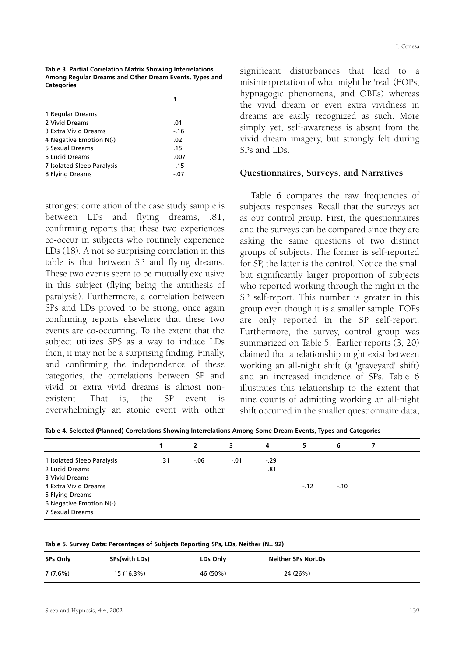| n T<br>æ<br>٠ |  |
|---------------|--|
|---------------|--|

**Table 3. Partial Correlation Matrix Showing Interrelations Among Regular Dreams and Other Dream Events, Types and Categories**

|                            | 1      |  |
|----------------------------|--------|--|
| 1 Regular Dreams           |        |  |
| 2 Vivid Dreams             | .01    |  |
| 3 Extra Vivid Dreams       | $-16$  |  |
| 4 Negative Emotion N(-)    | .02    |  |
| 5 Sexual Dreams            | .15    |  |
| 6 Lucid Dreams             | .007   |  |
| 7 Isolated Sleep Paralysis | $-.15$ |  |
| 8 Flying Dreams            | $-.07$ |  |

strongest correlation of the case study sample is between LDs and flying dreams, .81, confirming reports that these two experiences co-occur in subjects who routinely experience LDs (18). A not so surprising correlation in this table is that between SP and flying dreams. These two events seem to be mutually exclusive in this subject (flying being the antithesis of paralysis). Furthermore, a correlation between SPs and LDs proved to be strong, once again confirming reports elsewhere that these two events are co-occurring. To the extent that the subject utilizes SPS as a way to induce LDs then, it may not be a surprising finding. Finally, and confirming the independence of these categories, the correlations between SP and vivid or extra vivid dreams is almost nonexistent. That is, the SP event is overwhelmingly an atonic event with other significant disturbances that lead to a misinterpretation of what might be 'real' (FOPs, hypnagogic phenomena, and OBEs) whereas the vivid dream or even extra vividness in dreams are easily recognized as such. More simply yet, self-awareness is absent from the vivid dream imagery, but strongly felt during SPs and LDs.

#### **Questionnaires, Surveys, and Narratives**

Table 6 compares the raw frequencies of subjects' responses. Recall that the surveys act as our control group. First, the questionnaires and the surveys can be compared since they are asking the same questions of two distinct groups of subjects. The former is self-reported for SP, the latter is the control. Notice the small but significantly larger proportion of subjects who reported working through the night in the SP self-report. This number is greater in this group even though it is a smaller sample. FOPs are only reported in the SP self-report. Furthermore, the survey, control group was summarized on Table 5. Earlier reports (3, 20) claimed that a relationship might exist between working an all-night shift (a 'graveyard' shift) and an increased incidence of SPs. Table 6 illustrates this relationship to the extent that nine counts of admitting working an all-night shift occurred in the smaller questionnaire data,

**Table 4. Selected (Planned) Correlations Showing Interrelations Among Some Dream Events, Types and Categories**

|                            |     | 2      | 3      | 4      | 5      | 6      |  |
|----------------------------|-----|--------|--------|--------|--------|--------|--|
| 1 Isolated Sleep Paralysis | .31 | $-.06$ | $-.01$ | $-.29$ |        |        |  |
| 2 Lucid Dreams             |     |        |        | .81    |        |        |  |
| 3 Vivid Dreams             |     |        |        |        |        |        |  |
| 4 Extra Vivid Dreams       |     |        |        |        | $-.12$ | $-.10$ |  |
| 5 Flying Dreams            |     |        |        |        |        |        |  |
| 6 Negative Emotion N(-)    |     |        |        |        |        |        |  |
| 7 Sexual Dreams            |     |        |        |        |        |        |  |

**Table 5. Survey Data: Percentages of Subjects Reporting SPs, LDs, Neither (N= 92)**

| <b>SPs Only</b> | SPs(with LDs) | LDs Only | <b>Neither SPs NorLDs</b> |
|-----------------|---------------|----------|---------------------------|
| 7(7.6%)         | 15 (16.3%)    | 46 (50%) | 24 (26%)                  |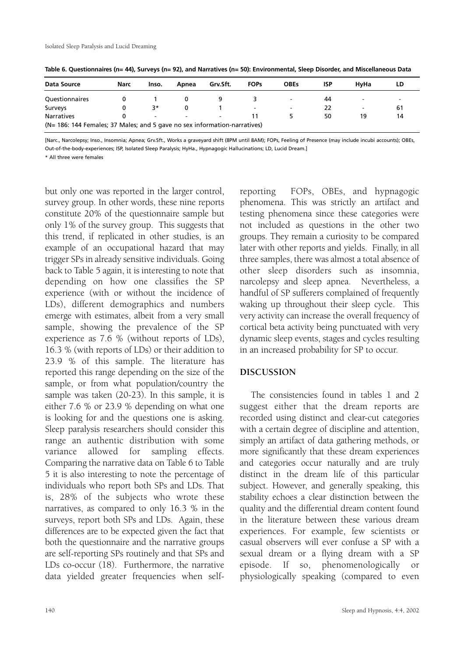| Data Source                                                               | Narc | Inso.                    | Apnea                    | Grv.Sft.                 | <b>FOPs</b>              | <b>OBEs</b>              | <b>ISP</b> | <b>HvHa</b>              | LD                       |
|---------------------------------------------------------------------------|------|--------------------------|--------------------------|--------------------------|--------------------------|--------------------------|------------|--------------------------|--------------------------|
| Questionnaires                                                            |      |                          |                          |                          |                          | $\overline{\phantom{a}}$ | 44         | $\overline{\phantom{a}}$ | $\overline{\phantom{0}}$ |
| Surveys                                                                   |      | 3*                       | 0                        |                          | $\overline{\phantom{a}}$ | $\overline{\phantom{0}}$ | 22         | $\overline{\phantom{0}}$ | 61                       |
| <b>Narratives</b>                                                         |      | $\overline{\phantom{0}}$ | $\overline{\phantom{a}}$ | $\overline{\phantom{0}}$ |                          |                          | 50         | 19                       | 14                       |
| (N= 186: 144 Females; 37 Males; and 5 gave no sex information-narratives) |      |                          |                          |                          |                          |                          |            |                          |                          |

**Table 6. Questionnaires (n= 44), Surveys (n= 92), and Narratives (n= 50): Environmental, Sleep Disorder, and Miscellaneous Data**

[Narc., Narcolepsy; Inso., Insomnia; Apnea; Grv.Sft., Works a graveyard shift (8PM until 8AM); FOPs, Feeling of Presence (may include incubi accounts); OBEs, Out-of-the-body-experiences; ISP, Isolated Sleep Paralysis; HyHa., Hypnagogic Hallucinations; LD, Lucid Dream.]

\* All three were females

but only one was reported in the larger control, survey group. In other words, these nine reports constitute 20% of the questionnaire sample but only 1% of the survey group. This suggests that this trend, if replicated in other studies, is an example of an occupational hazard that may trigger SPs in already sensitive individuals. Going back to Table 5 again, it is interesting to note that depending on how one classifies the SP experience (with or without the incidence of LDs), different demographics and numbers emerge with estimates, albeit from a very small sample, showing the prevalence of the SP experience as 7.6 % (without reports of LDs), 16.3 % (with reports of LDs) or their addition to 23.9 % of this sample. The literature has reported this range depending on the size of the sample, or from what population/country the sample was taken (20-23). In this sample, it is either 7.6 % or 23.9 % depending on what one is looking for and the questions one is asking. Sleep paralysis researchers should consider this range an authentic distribution with some variance allowed for sampling effects. Comparing the narrative data on Table 6 to Table 5 it is also interesting to note the percentage of individuals who report both SPs and LDs. That is, 28% of the subjects who wrote these narratives, as compared to only 16.3 % in the surveys, report both SPs and LDs. Again, these differences are to be expected given the fact that both the questionnaire and the narrative groups are self-reporting SPs routinely and that SPs and LDs co-occur (18). Furthermore, the narrative data yielded greater frequencies when selfreporting FOPs, OBEs, and hypnagogic phenomena. This was strictly an artifact and testing phenomena since these categories were not included as questions in the other two groups. They remain a curiosity to be compared later with other reports and yields. Finally, in all three samples, there was almost a total absence of other sleep disorders such as insomnia, narcolepsy and sleep apnea. Nevertheless, a handful of SP sufferers complained of frequently waking up throughout their sleep cycle. This very activity can increase the overall frequency of cortical beta activity being punctuated with very dynamic sleep events, stages and cycles resulting in an increased probability for SP to occur.

## **DISCUSSION**

The consistencies found in tables 1 and 2 suggest either that the dream reports are recorded using distinct and clear-cut categories with a certain degree of discipline and attention, simply an artifact of data gathering methods, or more significantly that these dream experiences and categories occur naturally and are truly distinct in the dream life of this particular subject. However, and generally speaking, this stability echoes a clear distinction between the quality and the differential dream content found in the literature between these various dream experiences. For example, few scientists or casual observers will ever confuse a SP with a sexual dream or a flying dream with a SP episode. If so, phenomenologically or physiologically speaking (compared to even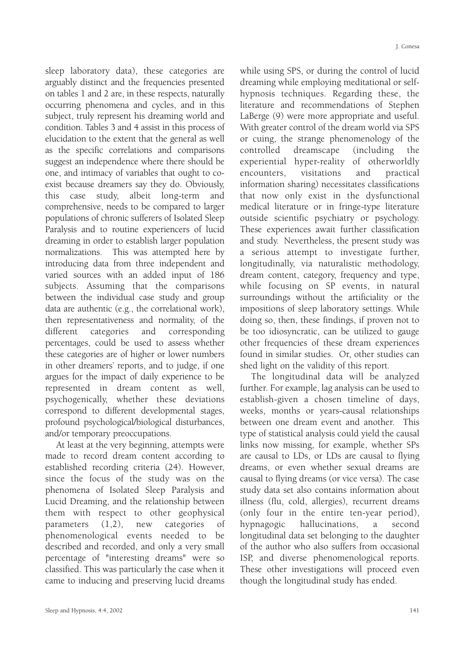sleep laboratory data), these categories are arguably distinct and the frequencies presented on tables 1 and 2 are, in these respects, naturally occurring phenomena and cycles, and in this subject, truly represent his dreaming world and condition. Tables 3 and 4 assist in this process of elucidation to the extent that the general as well as the specific correlations and comparisons suggest an independence where there should be one, and intimacy of variables that ought to coexist because dreamers say they do. Obviously, this case study, albeit long-term and comprehensive, needs to be compared to larger populations of chronic sufferers of Isolated Sleep Paralysis and to routine experiencers of lucid dreaming in order to establish larger population normalizations. This was attempted here by introducing data from three independent and varied sources with an added input of 186 subjects. Assuming that the comparisons between the individual case study and group data are authentic (e.g., the correlational work), then representativeness and normality, of the different categories and corresponding percentages, could be used to assess whether these categories are of higher or lower numbers in other dreamers' reports, and to judge, if one argues for the impact of daily experience to be represented in dream content as well, psychogenically, whether these deviations correspond to different developmental stages, profound psychological/biological disturbances, and/or temporary preoccupations.

At least at the very beginning, attempts were made to record dream content according to established recording criteria (24). However, since the focus of the study was on the phenomena of Isolated Sleep Paralysis and Lucid Dreaming, and the relationship between them with respect to other geophysical parameters (1,2), new categories of phenomenological events needed to be described and recorded, and only a very small percentage of "interesting dreams" were so classified. This was particularly the case when it came to inducing and preserving lucid dreams while using SPS, or during the control of lucid dreaming while employing meditational or selfhypnosis techniques. Regarding these, the literature and recommendations of Stephen LaBerge (9) were more appropriate and useful. With greater control of the dream world via SPS or cuing, the strange phenomenology of the controlled dreamscape (including the experiential hyper-reality of otherworldly encounters, visitations and practical information sharing) necessitates classifications that now only exist in the dysfunctional medical literature or in fringe-type literature outside scientific psychiatry or psychology. These experiences await further classification and study. Nevertheless, the present study was a serious attempt to investigate further, longitudinally, via naturalistic methodology, dream content, category, frequency and type, while focusing on SP events, in natural surroundings without the artificiality or the impositions of sleep laboratory settings. While doing so, then, these findings, if proven not to be too idiosyncratic, can be utilized to gauge other frequencies of these dream experiences found in similar studies. Or, other studies can shed light on the validity of this report.

The longitudinal data will be analyzed further. For example, lag analysis can be used to establish-given a chosen timeline of days, weeks, months or years-causal relationships between one dream event and another. This type of statistical analysis could yield the causal links now missing, for example, whether SPs are causal to LDs, or LDs are causal to flying dreams, or even whether sexual dreams are causal to flying dreams (or vice versa). The case study data set also contains information about illness (flu, cold, allergies), recurrent dreams (only four in the entire ten-year period), hypnagogic hallucinations, a second longitudinal data set belonging to the daughter of the author who also suffers from occasional ISP, and diverse phenomenological reports. These other investigations will proceed even though the longitudinal study has ended.